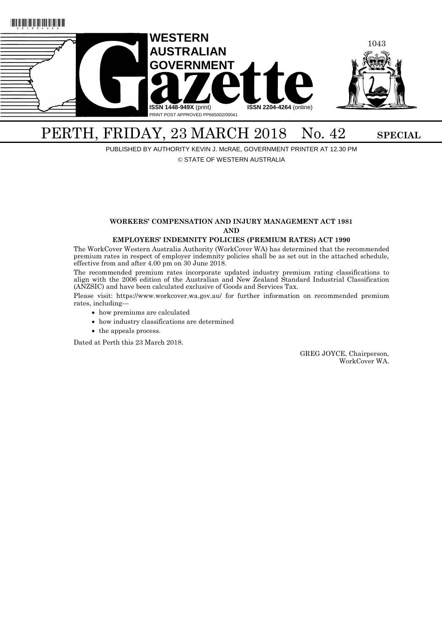

# PERTH, FRIDAY, 23 MARCH 2018 No. 42 SPECIAL

PUBLISHED BY AUTHORITY KEVIN J. McRAE, GOVERNMENT PRINTER AT 12.30 PM

© STATE OF WESTERN AUSTRALIA

#### **WORKERS' COMPENSATION AND INJURY MANAGEMENT ACT 1981 AND**

#### **EMPLOYERS' INDEMNITY POLICIES (PREMIUM RATES) ACT 1990**

The WorkCover Western Australia Authority (WorkCover WA) has determined that the recommended premium rates in respect of employer indemnity policies shall be as set out in the attached schedule, effective from and after 4.00 pm on 30 June 2018.

The recommended premium rates incorporate updated industry premium rating classifications to align with the 2006 edition of the Australian and New Zealand Standard Industrial Classification (ANZSIC) and have been calculated exclusive of Goods and Services Tax.

Please visit: https://www.workcover.wa.gov.au/ for further information on recommended premium rates, including—

- how premiums are calculated
- how industry classifications are determined
- the appeals process.

Dated at Perth this 23 March 2018.

GREG JOYCE, Chairperson, WorkCover WA.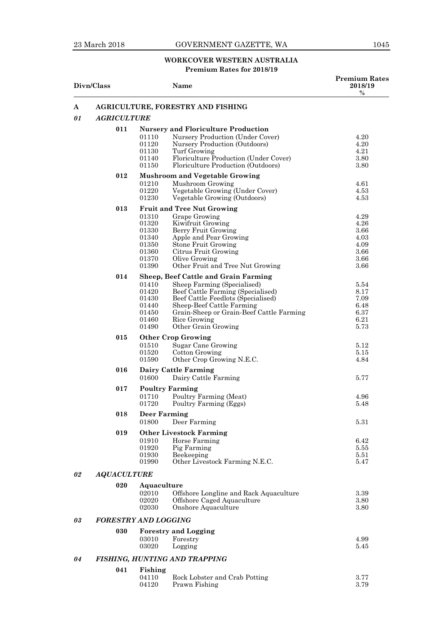## 23 March 2018 GOVERNMENT GAZETTE, WA 1045

# **WORKCOVER WESTERN AUSTRALIA**

## **Premium Rates for 2018/19**

| Divn/Class |                                          |                                                                      | Name                                                                                                                                                                                                                                                                  | <b>Premium Rates</b><br>2018/19<br>$\%$                      |
|------------|------------------------------------------|----------------------------------------------------------------------|-----------------------------------------------------------------------------------------------------------------------------------------------------------------------------------------------------------------------------------------------------------------------|--------------------------------------------------------------|
| A          | <b>AGRICULTURE, FORESTRY AND FISHING</b> |                                                                      |                                                                                                                                                                                                                                                                       |                                                              |
| 01         | <b>AGRICULTURE</b>                       |                                                                      |                                                                                                                                                                                                                                                                       |                                                              |
|            | 011                                      | 01110<br>01120<br>01130<br>01140<br>01150                            | <b>Nursery and Floriculture Production</b><br>Nursery Production (Under Cover)<br>Nursery Production (Outdoors)<br>Turf Growing<br>Floriculture Production (Under Cover)<br>Floriculture Production (Outdoors)                                                        | 4.20<br>4.20<br>4.21<br>3.80<br>3.80                         |
|            | 012                                      | 01210<br>01220<br>01230                                              | <b>Mushroom and Vegetable Growing</b><br>Mushroom Growing<br>Vegetable Growing (Under Cover)<br>Vegetable Growing (Outdoors)                                                                                                                                          | 4.61<br>4.53<br>4.53                                         |
|            | 013                                      | 01310<br>01320<br>01330<br>01340<br>01350<br>01360<br>01370<br>01390 | <b>Fruit and Tree Nut Growing</b><br>Grape Growing<br>Kiwifruit Growing<br>Berry Fruit Growing<br>Apple and Pear Growing<br><b>Stone Fruit Growing</b><br>Citrus Fruit Growing<br>Olive Growing<br>Other Fruit and Tree Nut Growing                                   | 4.29<br>4.26<br>3.66<br>4.03<br>4.09<br>3.66<br>3.66<br>3.66 |
|            | 014                                      | 01410<br>01420<br>01430<br>01440<br>01450<br>01460<br>01490          | <b>Sheep, Beef Cattle and Grain Farming</b><br>Sheep Farming (Specialised)<br>Beef Cattle Farming (Specialised)<br>Beef Cattle Feedlots (Specialised)<br>Sheep-Beef Cattle Farming<br>Grain-Sheep or Grain-Beef Cattle Farming<br>Rice Growing<br>Other Grain Growing | 5.54<br>8.17<br>7.09<br>6.48<br>6.37<br>6.21<br>5.73         |
|            | 015                                      | 01510<br>01520<br>01590                                              | <b>Other Crop Growing</b><br>Sugar Cane Growing<br>Cotton Growing<br>Other Crop Growing N.E.C.                                                                                                                                                                        | 5.12<br>5.15<br>4.84                                         |
|            | 016                                      | 01600                                                                | Dairy Cattle Farming<br>Dairy Cattle Farming                                                                                                                                                                                                                          | 5.77                                                         |
|            | 017                                      | 01710<br>01720                                                       | <b>Poultry Farming</b><br>Poultry Farming (Meat)<br>Poultry Farming (Eggs)                                                                                                                                                                                            | 4.96<br>5.48                                                 |
|            | 018                                      | <b>Deer Farming</b><br>01800                                         | Deer Farming                                                                                                                                                                                                                                                          | 5.31                                                         |
|            | 019                                      | 01910<br>01920<br>01930<br>01990                                     | <b>Other Livestock Farming</b><br>Horse Farming<br>Pig Farming<br>Beekeeping<br>Other Livestock Farming N.E.C.                                                                                                                                                        | 6.42<br>5.55<br>5.51<br>5.47                                 |
| 02         | <b>AQUACULTURE</b>                       |                                                                      |                                                                                                                                                                                                                                                                       |                                                              |
|            | 020                                      | Aquaculture<br>02010<br>02020<br>02030                               | Offshore Longline and Rack Aquaculture<br>Offshore Caged Aquaculture<br>Onshore Aquaculture                                                                                                                                                                           | 3.39<br>3.80<br>3.80                                         |
| 03         | <b>FORESTRY AND LOGGING</b>              |                                                                      |                                                                                                                                                                                                                                                                       |                                                              |
|            | 030                                      | 03010<br>03020                                                       | <b>Forestry and Logging</b><br>Forestry<br>Logging                                                                                                                                                                                                                    | 4.99<br>5.45                                                 |
| 04         |                                          |                                                                      | FISHING, HUNTING AND TRAPPING                                                                                                                                                                                                                                         |                                                              |
|            | 041                                      | Fishing<br>04110<br>04120                                            | Rock Lobster and Crab Potting<br>Prawn Fishing                                                                                                                                                                                                                        | 3.77<br>3.79                                                 |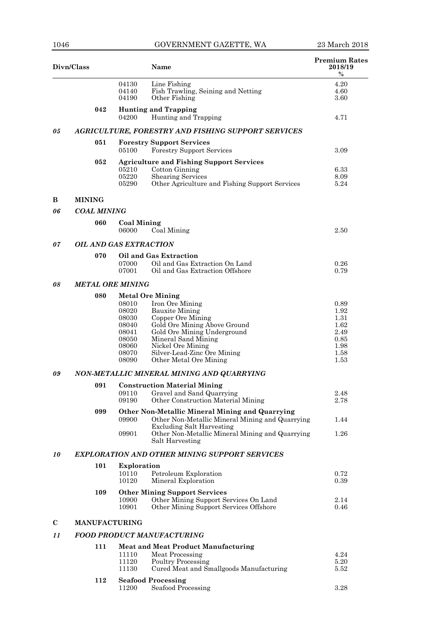| Divn/Class |                               |                             | Name                                                                                                                    | <b>Premium Rates</b><br>2018/19<br>$\%$ |  |
|------------|-------------------------------|-----------------------------|-------------------------------------------------------------------------------------------------------------------------|-----------------------------------------|--|
|            |                               | 04130<br>04140<br>04190     | Line Fishing<br>Fish Trawling, Seining and Netting<br>Other Fishing                                                     | 4.20<br>4.60<br>3.60                    |  |
|            | 042                           | 04200                       | <b>Hunting and Trapping</b><br>Hunting and Trapping                                                                     | 4.71                                    |  |
| 05         |                               |                             | <b>AGRICULTURE, FORESTRY AND FISHING SUPPORT SERVICES</b>                                                               |                                         |  |
|            | 051                           |                             | <b>Forestry Support Services</b>                                                                                        |                                         |  |
|            |                               | 05100                       | <b>Forestry Support Services</b>                                                                                        | 3.09                                    |  |
|            | 052                           |                             | <b>Agriculture and Fishing Support Services</b>                                                                         |                                         |  |
|            |                               | 05210<br>05220<br>05290     | Cotton Ginning<br><b>Shearing Services</b><br>Other Agriculture and Fishing Support Services                            | 6.33<br>8.09<br>5.24                    |  |
| B          | <b>MINING</b>                 |                             |                                                                                                                         |                                         |  |
| 06         | <b>COAL MINING</b>            |                             |                                                                                                                         |                                         |  |
|            | 060                           | <b>Coal Mining</b><br>06000 | Coal Mining                                                                                                             | 2.50                                    |  |
| 07         | <b>OIL AND GAS EXTRACTION</b> |                             |                                                                                                                         |                                         |  |
|            | 070                           | 07000<br>07001              | Oil and Gas Extraction<br>Oil and Gas Extraction On Land<br>Oil and Gas Extraction Offshore                             | 0.26<br>0.79                            |  |
| 08         | <b>METAL ORE MINING</b>       |                             |                                                                                                                         |                                         |  |
|            | 080                           |                             | <b>Metal Ore Mining</b>                                                                                                 |                                         |  |
|            |                               | 08010<br>08020              | Iron Ore Mining                                                                                                         | 0.89<br>1.92                            |  |
|            |                               | 08030                       | <b>Bauxite Mining</b><br>Copper Ore Mining                                                                              | 1.31                                    |  |
|            |                               | 08040                       | Gold Ore Mining Above Ground                                                                                            | 1.62                                    |  |
|            |                               | 08041<br>08050              | Gold Ore Mining Underground<br>Mineral Sand Mining                                                                      | 2.49<br>0.85                            |  |
|            |                               | 08060                       | Nickel Ore Mining                                                                                                       | 1.98                                    |  |
|            |                               | 08070<br>08090              | Silver-Lead-Zinc Ore Mining<br>Other Metal Ore Mining                                                                   | 1.58<br>1.53                            |  |
| 09         |                               |                             | NON-METALLIC MINERAL MINING AND QUARRYING                                                                               |                                         |  |
|            | 091                           |                             | <b>Construction Material Mining</b>                                                                                     |                                         |  |
|            |                               | 09110<br>09190              | Gravel and Sand Quarrying<br>Other Construction Material Mining                                                         | 2.48<br>2.78                            |  |
|            | 099                           | 09900                       | Other Non-Metallic Mineral Mining and Quarrying<br>Other Non-Metallic Mineral Mining and Quarrying                      | 1.44                                    |  |
|            |                               |                             | <b>Excluding Salt Harvesting</b>                                                                                        |                                         |  |
|            |                               | 09901                       | Other Non-Metallic Mineral Mining and Quarrying<br>Salt Harvesting                                                      | 1.26                                    |  |
| 10         |                               |                             | <b>EXPLORATION AND OTHER MINING SUPPORT SERVICES</b>                                                                    |                                         |  |
|            | 101                           | Exploration                 |                                                                                                                         |                                         |  |
|            |                               | 10110<br>10120              | Petroleum Exploration<br>Mineral Exploration                                                                            | 0.72<br>0.39                            |  |
|            | 109                           | 10900<br>10901              | <b>Other Mining Support Services</b><br>Other Mining Support Services On Land<br>Other Mining Support Services Offshore | 2.14<br>0.46                            |  |
| $\bf C$    | <b>MANUFACTURING</b>          |                             |                                                                                                                         |                                         |  |
| 11         |                               |                             | <b>FOOD PRODUCT MANUFACTURING</b>                                                                                       |                                         |  |
|            | 111                           |                             | <b>Meat and Meat Product Manufacturing</b>                                                                              |                                         |  |
|            |                               | 11110                       | Meat Processing                                                                                                         | 4.24                                    |  |
|            |                               | 11120<br>11130              | <b>Poultry Processing</b><br>Cured Meat and Smallgoods Manufacturing                                                    | 5.20<br>5.52                            |  |
|            | 112                           |                             | <b>Seafood Processing</b>                                                                                               |                                         |  |
|            |                               | 11200                       | Seafood Processing                                                                                                      | 3.28                                    |  |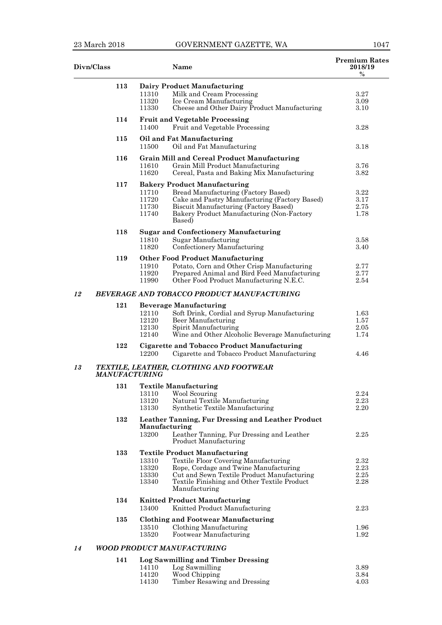| Divn/Class |     | Name                                                                                             | <b>Premium Rates</b><br>2018/19<br>$\%$ |
|------------|-----|--------------------------------------------------------------------------------------------------|-----------------------------------------|
|            | 113 | Dairy Product Manufacturing                                                                      |                                         |
|            |     | Milk and Cream Processing<br>11310                                                               | 3.27                                    |
|            |     | 11320<br>Ice Cream Manufacturing                                                                 | 3.09                                    |
|            |     | Cheese and Other Dairy Product Manufacturing<br>11330                                            | 3.10                                    |
|            | 114 | <b>Fruit and Vegetable Processing</b><br>11400<br>Fruit and Vegetable Processing                 | 3.28                                    |
|            | 115 | Oil and Fat Manufacturing<br>11500<br>Oil and Fat Manufacturing                                  | 3.18                                    |
|            | 116 | <b>Grain Mill and Cereal Product Manufacturing</b>                                               |                                         |
|            |     | 11610<br>Grain Mill Product Manufacturing<br>11620<br>Cereal, Pasta and Baking Mix Manufacturing | 3.76<br>3.82                            |
|            | 117 | <b>Bakery Product Manufacturing</b>                                                              |                                         |
|            |     | Bread Manufacturing (Factory Based)<br>11710                                                     | 3.22                                    |
|            |     | 11720<br>Cake and Pastry Manufacturing (Factory Based)                                           | 3.17                                    |
|            |     | 11730<br>Biscuit Manufacturing (Factory Based)                                                   | 2.75                                    |
|            |     | 11740<br>Bakery Product Manufacturing (Non-Factory<br>Based)                                     | 1.78                                    |
|            | 118 | <b>Sugar and Confectionery Manufacturing</b>                                                     |                                         |
|            |     | Sugar Manufacturing<br>11810                                                                     | 3.58                                    |
|            |     | 11820<br>Confectionery Manufacturing                                                             | 3.40                                    |
|            | 119 | <b>Other Food Product Manufacturing</b>                                                          |                                         |
|            |     | 11910<br>Potato, Corn and Other Crisp Manufacturing                                              | 2.77                                    |
|            |     | 11920<br>Prepared Animal and Bird Feed Manufacturing                                             | 2.77                                    |
|            |     | 11990<br>Other Food Product Manufacturing N.E.C.                                                 | 2.54                                    |
| 12         |     | <b>BEVERAGE AND TOBACCO PRODUCT MANUFACTURING</b>                                                |                                         |
|            | 121 | <b>Beverage Manufacturing</b>                                                                    |                                         |
|            |     | Soft Drink, Cordial and Syrup Manufacturing<br>12110                                             | 1.63                                    |
|            |     | 12120<br>Beer Manufacturing                                                                      | 1.57                                    |
|            |     | 12130<br>Spirit Manufacturing<br>Wine and Other Alcoholic Beverage Manufacturing<br>12140        | 2.05<br>1.74                            |
|            | 122 | <b>Cigarette and Tobacco Product Manufacturing</b>                                               |                                         |
|            |     | 12200<br>Cigarette and Tobacco Product Manufacturing                                             | 4.46                                    |
| 13         |     | TEXTILE, LEATHER, CLOTHING AND FOOTWEAR<br><b>MANUFACTURING</b>                                  |                                         |
|            |     | 131 Textile Manufacturing                                                                        |                                         |
|            |     | Wool Scouring<br>13110                                                                           | 2.24                                    |
|            |     | 13120<br>Natural Textile Manufacturing                                                           | 2.23                                    |
|            |     | Synthetic Textile Manufacturing<br>13130                                                         | 2.20                                    |
|            | 132 | Leather Tanning, Fur Dressing and Leather Product                                                |                                         |
|            |     | Manufacturing<br>13200<br>Leather Tanning, Fur Dressing and Leather<br>Product Manufacturing     | 2.25                                    |
|            | 133 | <b>Textile Product Manufacturing</b>                                                             |                                         |
|            |     | 13310<br><b>Textile Floor Covering Manufacturing</b>                                             | 2.32                                    |
|            |     | 13320<br>Rope, Cordage and Twine Manufacturing                                                   | 2.23                                    |
|            |     | Cut and Sewn Textile Product Manufacturing<br>13330                                              | 2.25                                    |
|            |     | 13340<br>Textile Finishing and Other Textile Product<br>Manufacturing                            | 2.28                                    |
|            | 134 | <b>Knitted Product Manufacturing</b><br>Knitted Product Manufacturing<br>13400                   | $2.23\,$                                |
|            |     |                                                                                                  |                                         |
|            | 135 | <b>Clothing and Footwear Manufacturing</b>                                                       |                                         |
|            |     | 13510<br>Clothing Manufacturing<br>13520<br>Footwear Manufacturing                               | 1.96<br>1.92                            |
|            |     |                                                                                                  |                                         |
| 14         |     | <b>WOOD PRODUCT MANUFACTURING</b>                                                                |                                         |
|            | 141 | <b>Log Sawmilling and Timber Dressing</b>                                                        |                                         |
|            |     | 14110<br>Log Sawmilling                                                                          | 3.89                                    |
|            |     | 14120<br>Wood Chipping                                                                           | 3.84                                    |

| 14 L LV | Log Sawmining |
|---------|---------------|
| 14190   | Wood Chinning |

| 14120 | Wood Chipping                | -3.84 |
|-------|------------------------------|-------|
| 14130 | Timber Resawing and Dressing | 4.03  |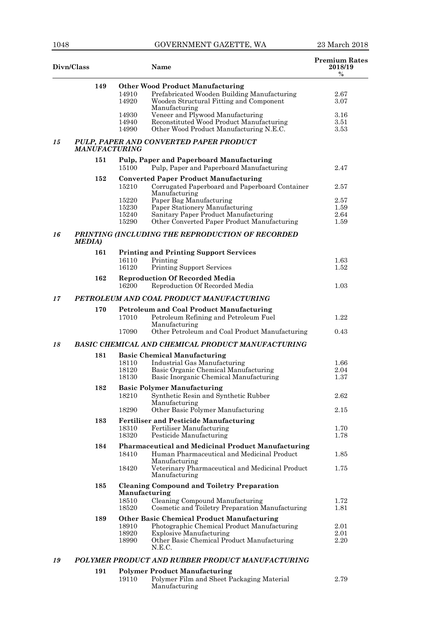2.79

| Divn/Class |                      |                                  | <b>Name</b>                                                                                                                                                                                | <b>Premium Rates</b><br>2018/19<br>$\%$ |
|------------|----------------------|----------------------------------|--------------------------------------------------------------------------------------------------------------------------------------------------------------------------------------------|-----------------------------------------|
|            | 149                  | 14910<br>14920                   | <b>Other Wood Product Manufacturing</b><br>Prefabricated Wooden Building Manufacturing<br>Wooden Structural Fitting and Component<br>Manufacturing                                         | 2.67<br>3.07                            |
|            |                      | 14930<br>14940<br>14990          | Veneer and Plywood Manufacturing<br>Reconstituted Wood Product Manufacturing<br>Other Wood Product Manufacturing N.E.C.                                                                    | $3.16\,$<br>3.51<br>3.53                |
| 15         | <b>MANUFACTURING</b> |                                  | PULP, PAPER AND CONVERTED PAPER PRODUCT                                                                                                                                                    |                                         |
|            | 151                  | 15100                            | <b>Pulp, Paper and Paperboard Manufacturing</b><br>Pulp, Paper and Paperboard Manufacturing                                                                                                | 2.47                                    |
|            | 152                  | 15210                            | <b>Converted Paper Product Manufacturing</b><br>Corrugated Paperboard and Paperboard Container<br>Manufacturing                                                                            | $2.57\,$                                |
|            |                      | 15220<br>15230<br>15240<br>15290 | Paper Bag Manufacturing<br>Paper Stationery Manufacturing<br>Sanitary Paper Product Manufacturing<br>Other Converted Paper Product Manufacturing                                           | 2.57<br>1.59<br>2.64<br>1.59            |
| 16         | MEDIA)               |                                  | PRINTING (INCLUDING THE REPRODUCTION OF RECORDED                                                                                                                                           |                                         |
|            | 161                  | 16110<br>16120                   | <b>Printing and Printing Support Services</b><br>Printing<br><b>Printing Support Services</b>                                                                                              | 1.63<br>1.52                            |
|            | 162                  | 16200                            | <b>Reproduction Of Recorded Media</b><br>Reproduction Of Recorded Media                                                                                                                    | 1.03                                    |
| 17         |                      |                                  | PETROLEUM AND COAL PRODUCT MANUFACTURING                                                                                                                                                   |                                         |
|            | 170                  | 17010                            | <b>Petroleum and Coal Product Manufacturing</b><br>Petroleum Refining and Petroleum Fuel<br>Manufacturing                                                                                  | 1.22                                    |
|            |                      | 17090                            | Other Petroleum and Coal Product Manufacturing                                                                                                                                             | 0.43                                    |
| 18         |                      |                                  | <b>BASIC CHEMICAL AND CHEMICAL PRODUCT MANUFACTURING</b>                                                                                                                                   |                                         |
|            | 181                  | 18110<br>18120<br>18130          | <b>Basic Chemical Manufacturing</b><br>Industrial Gas Manufacturing<br>Basic Organic Chemical Manufacturing<br>Basic Inorganic Chemical Manufacturing                                      | 1.66<br>2.04<br>1.37                    |
|            | 182                  | 18210                            | <b>Basic Polymer Manufacturing</b><br>Synthetic Resin and Synthetic Rubber<br>Manufacturing                                                                                                | 2.62                                    |
|            |                      | 18290                            | Other Basic Polymer Manufacturing                                                                                                                                                          | 2.15                                    |
|            | 183                  | 18310<br>18320                   | <b>Fertiliser and Pesticide Manufacturing</b><br>Fertiliser Manufacturing<br>Pesticide Manufacturing                                                                                       | 1.70<br>1.78                            |
|            | 184                  | 18410                            | <b>Pharmaceutical and Medicinal Product Manufacturing</b><br>Human Pharmaceutical and Medicinal Product                                                                                    | 1.85                                    |
|            |                      | 18420                            | Manufacturing<br>Veterinary Pharmaceutical and Medicinal Product<br>Manufacturing                                                                                                          | 1.75                                    |
|            | 185                  | Manufacturing<br>18510<br>18520  | <b>Cleaning Compound and Toiletry Preparation</b><br>Cleaning Compound Manufacturing<br>Cosmetic and Toiletry Preparation Manufacturing                                                    | 1.72<br>1.81                            |
|            | 189                  | 18910<br>18920<br>18990          | <b>Other Basic Chemical Product Manufacturing</b><br>Photographic Chemical Product Manufacturing<br><b>Explosive Manufacturing</b><br>Other Basic Chemical Product Manufacturing<br>N.E.C. | 2.01<br>2.01<br>2.20                    |
| 19         |                      |                                  | POLYMER PRODUCT AND RUBBER PRODUCT MANUFACTURING                                                                                                                                           |                                         |
|            | 191                  |                                  | <b>Polymer Product Manufacturing</b>                                                                                                                                                       |                                         |

19110 Polymer Film and Sheet Packaging Material

Manufacturing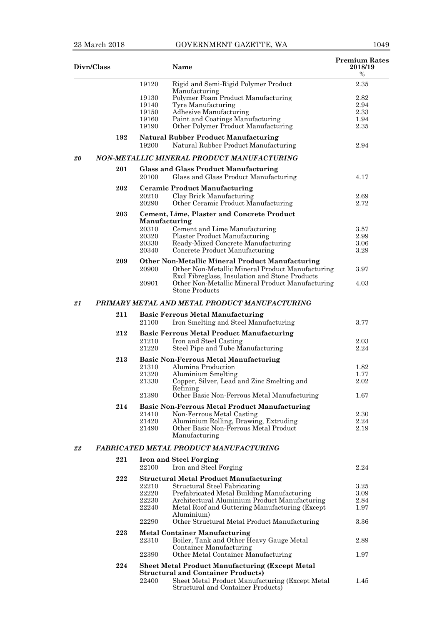|    | Divn/Class |                | Name                                                                                                                 | <b>Premium Rates</b><br>2018/19<br>$\%$ |
|----|------------|----------------|----------------------------------------------------------------------------------------------------------------------|-----------------------------------------|
|    |            | 19120          | Rigid and Semi-Rigid Polymer Product                                                                                 | 2.35                                    |
|    |            |                | Manufacturing                                                                                                        |                                         |
|    |            | 19130          | Polymer Foam Product Manufacturing                                                                                   | 2.82                                    |
|    |            | 19140          | Tyre Manufacturing                                                                                                   | 2.94                                    |
|    |            | 19150          | Adhesive Manufacturing                                                                                               | 2.33                                    |
|    |            | 19160<br>19190 | Paint and Coatings Manufacturing<br>Other Polymer Product Manufacturing                                              | 1.94<br>2.35                            |
|    |            |                |                                                                                                                      |                                         |
|    | 192        | 19200          | <b>Natural Rubber Product Manufacturing</b><br>Natural Rubber Product Manufacturing                                  | 2.94                                    |
| 20 |            |                | NON-METALLIC MINERAL PRODUCT MANUFACTURING                                                                           |                                         |
|    | 201        | 20100          | <b>Glass and Glass Product Manufacturing</b><br>Glass and Glass Product Manufacturing                                | 4.17                                    |
|    | 202        |                | <b>Ceramic Product Manufacturing</b>                                                                                 |                                         |
|    |            | 20210          | Clay Brick Manufacturing                                                                                             | 2.69                                    |
|    |            | 20290          | Other Ceramic Product Manufacturing                                                                                  | 2.72                                    |
|    |            |                |                                                                                                                      |                                         |
|    | 203        | Manufacturing  | Cement, Lime, Plaster and Concrete Product                                                                           |                                         |
|    |            | 20310          | Cement and Lime Manufacturing                                                                                        | 3.57                                    |
|    |            | 20320          | <b>Plaster Product Manufacturing</b>                                                                                 | 2.99                                    |
|    |            | 20330          | Ready-Mixed Concrete Manufacturing                                                                                   | 3.06                                    |
|    |            | 20340          | Concrete Product Manufacturing                                                                                       | 3.29                                    |
|    | 209        |                | Other Non-Metallic Mineral Product Manufacturing                                                                     |                                         |
|    |            | 20900          |                                                                                                                      |                                         |
|    |            |                | Other Non-Metallic Mineral Product Manufacturing                                                                     | 3.97                                    |
|    |            | 20901          | Excl Fibreglass, Insulation and Stone Products<br>Other Non-Metallic Mineral Product Manufacturing<br>Stone Products | 4.03                                    |
| 21 |            |                | PRIMARY METAL AND METAL PRODUCT MANUFACTURING                                                                        |                                         |
|    | 211        |                | <b>Basic Ferrous Metal Manufacturing</b>                                                                             |                                         |
|    |            | 21100          | Iron Smelting and Steel Manufacturing                                                                                | 3.77                                    |
|    | 212        |                | <b>Basic Ferrous Metal Product Manufacturing</b>                                                                     |                                         |
|    |            | 21210          | Iron and Steel Casting                                                                                               | 2.03                                    |
|    |            | 21220          | Steel Pipe and Tube Manufacturing                                                                                    | 2.24                                    |
|    | 213        |                | <b>Basic Non-Ferrous Metal Manufacturing</b>                                                                         |                                         |
|    |            | 21310          | Alumina Production                                                                                                   | 1.82                                    |
|    |            | 21320          | Aluminium Smelting                                                                                                   | 1.77                                    |
|    |            | 21330          | Copper, Silver, Lead and Zinc Smelting and                                                                           | 2.02                                    |
|    |            |                | Refining                                                                                                             |                                         |
|    | 214        | 21390          | Other Basic Non-Ferrous Metal Manufacturing                                                                          | 1.67                                    |
|    |            |                | <b>Basic Non-Ferrous Metal Product Manufacturing</b>                                                                 |                                         |
|    |            | 21410<br>21420 | Non-Ferrous Metal Casting<br>Aluminium Rolling, Drawing, Extruding                                                   | 2.30<br>2.24                            |
|    |            | 21490          | Other Basic Non-Ferrous Metal Product                                                                                | 2.19                                    |
|    |            |                | Manufacturing                                                                                                        |                                         |
| 22 |            |                | FABRICATED METAL PRODUCT MANUFACTURING                                                                               |                                         |
|    | 221        |                | <b>Iron and Steel Forging</b>                                                                                        |                                         |
|    |            | 22100          | Iron and Steel Forging                                                                                               | 2.24                                    |
|    | 222        |                | <b>Structural Metal Product Manufacturing</b>                                                                        |                                         |
|    |            | 22210          | Structural Steel Fabricating                                                                                         | 3.25                                    |
|    |            | 22220          | Prefabricated Metal Building Manufacturing                                                                           | 3.09                                    |
|    |            | 22230          | Architectural Aluminium Product Manufacturing                                                                        | 2.84                                    |
|    |            | 22240          | Metal Roof and Guttering Manufacturing (Except)                                                                      | 1.97                                    |
|    |            | 22290          | Aluminium)<br>Other Structural Metal Product Manufacturing                                                           | 3.36                                    |
|    |            |                |                                                                                                                      |                                         |
|    | 223        |                | <b>Metal Container Manufacturing</b>                                                                                 |                                         |
|    |            | 22310          | Boiler, Tank and Other Heavy Gauge Metal                                                                             | 2.89                                    |
|    |            | 22390          | Container Manufacturing<br>Other Metal Container Manufacturing                                                       | 1.97                                    |
|    | 224        |                | <b>Sheet Metal Product Manufacturing (Except Metal</b>                                                               |                                         |
|    |            |                | <b>Structural and Container Products)</b>                                                                            |                                         |
|    |            | 22400          | Sheet Metal Product Manufacturing (Except Metal                                                                      | 1.45                                    |
|    |            |                | Structural and Container Products)                                                                                   |                                         |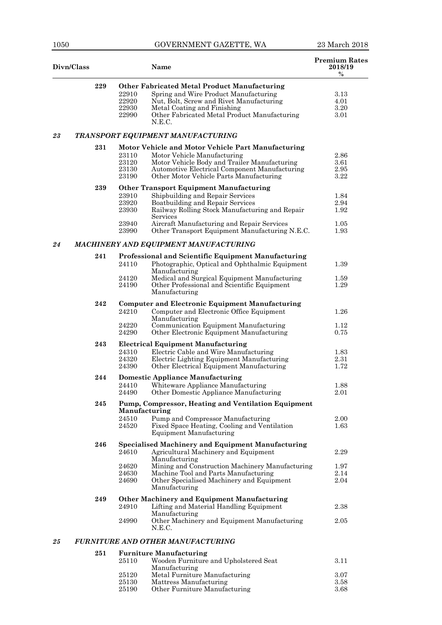|    | Divn/Class |                                           | <b>Premium Rates</b><br><b>Name</b>                                                                                                                                                                                                                                                  |                                      |
|----|------------|-------------------------------------------|--------------------------------------------------------------------------------------------------------------------------------------------------------------------------------------------------------------------------------------------------------------------------------------|--------------------------------------|
|    | 229        | 22910<br>22920<br>22930<br>22990          | <b>Other Fabricated Metal Product Manufacturing</b><br>Spring and Wire Product Manufacturing<br>Nut, Bolt, Screw and Rivet Manufacturing<br>Metal Coating and Finishing<br>Other Fabricated Metal Product Manufacturing<br>N.E.C.                                                    | 3.13<br>4.01<br>3.20<br>3.01         |
| 23 |            |                                           | TRANSPORT EQUIPMENT MANUFACTURING                                                                                                                                                                                                                                                    |                                      |
|    | $\bf 231$  | 23110<br>23120<br>23130<br>23190          | Motor Vehicle and Motor Vehicle Part Manufacturing<br>Motor Vehicle Manufacturing<br>Motor Vehicle Body and Trailer Manufacturing<br>Automotive Electrical Component Manufacturing<br>Other Motor Vehicle Parts Manufacturing                                                        | 2.86<br>3.61<br>2.95<br>3.22         |
|    | 239        | 23910<br>23920<br>23930<br>23940<br>23990 | <b>Other Transport Equipment Manufacturing</b><br>Shipbuilding and Repair Services<br>Boatbuilding and Repair Services<br>Railway Rolling Stock Manufacturing and Repair<br>Services<br>Aircraft Manufacturing and Repair Services<br>Other Transport Equipment Manufacturing N.E.C. | 1.84<br>2.94<br>1.92<br>1.05<br>1.93 |
| 24 |            |                                           | MACHINERY AND EQUIPMENT MANUFACTURING                                                                                                                                                                                                                                                |                                      |
|    | 241        | 24110<br>24120<br>24190                   | Professional and Scientific Equipment Manufacturing<br>Photographic, Optical and Ophthalmic Equipment<br>Manufacturing<br>Medical and Surgical Equipment Manufacturing<br>Other Professional and Scientific Equipment<br>Manufacturing                                               | 1.39<br>1.59<br>1.29                 |
|    | 242        | 24210<br>24220<br>24290                   | <b>Computer and Electronic Equipment Manufacturing</b><br>Computer and Electronic Office Equipment<br>Manufacturing<br>Communication Equipment Manufacturing<br>Other Electronic Equipment Manufacturing                                                                             | 1.26<br>1.12<br>0.75                 |
|    | 243        | 24310<br>24320<br>24390                   | <b>Electrical Equipment Manufacturing</b><br>Electric Cable and Wire Manufacturing<br>Electric Lighting Equipment Manufacturing<br>Other Electrical Equipment Manufacturing                                                                                                          | 1.83<br>2.31<br>1.72                 |
|    | 244        | 24410<br>24490                            | <b>Domestic Appliance Manufacturing</b><br>Whiteware Appliance Manufacturing<br>Other Domestic Appliance Manufacturing                                                                                                                                                               | 1.88<br>2.01                         |
|    | 245        | Manufacturing<br>24510<br>24520           | Pump, Compressor, Heating and Ventilation Equipment<br>Pump and Compressor Manufacturing<br>Fixed Space Heating, Cooling and Ventilation<br><b>Equipment Manufacturing</b>                                                                                                           | 2.00<br>1.63                         |
|    | 246        | 24610<br>24620<br>24630<br>24690          | <b>Specialised Machinery and Equipment Manufacturing</b><br>Agricultural Machinery and Equipment<br>Manufacturing<br>Mining and Construction Machinery Manufacturing<br>Machine Tool and Parts Manufacturing<br>Other Specialised Machinery and Equipment<br>Manufacturing           | 2.29<br>1.97<br>2.14<br>2.04         |
|    | 249        | 24910<br>24990                            | Other Machinery and Equipment Manufacturing<br>Lifting and Material Handling Equipment<br>Manufacturing<br>Other Machinery and Equipment Manufacturing<br>N.E.C.                                                                                                                     | 2.38<br>2.05                         |
| 25 |            |                                           | <b>FURNITURE AND OTHER MANUFACTURING</b>                                                                                                                                                                                                                                             |                                      |
|    | $\bf 251$  | 25110<br>25120                            | <b>Furniture Manufacturing</b><br>Wooden Furniture and Upholstered Seat<br>Manufacturing<br>Metal Furniture Manufacturing                                                                                                                                                            | 3.11<br>3.07                         |
|    |            | 25130                                     | Mattress Manufacturing                                                                                                                                                                                                                                                               | 3.58                                 |

| --------- |                               | ------ |
|-----------|-------------------------------|--------|
| 25190     | Other Furniture Manufacturing | 3.68   |
|           |                               |        |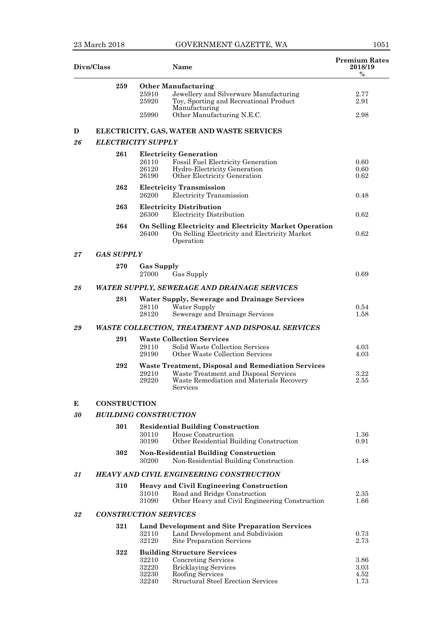| Divn/Class |                     | <b>Name</b>                                                                                                                                                                              | <b>Premium Rates</b><br>2018/19<br>$\%$ |
|------------|---------------------|------------------------------------------------------------------------------------------------------------------------------------------------------------------------------------------|-----------------------------------------|
|            | 259                 | <b>Other Manufacturing</b><br>25910<br>Jewellery and Silverware Manufacturing<br>Toy, Sporting and Recreational Product<br>25920<br>Manufacturing<br>Other Manufacturing N.E.C.<br>25990 | 2.77<br>2.91<br>2.98                    |
| D          |                     | ELECTRICITY, GAS, WATER AND WASTE SERVICES                                                                                                                                               |                                         |
| 26         |                     | <b>ELECTRICITY SUPPLY</b>                                                                                                                                                                |                                         |
|            | 261                 | <b>Electricity Generation</b><br>26110<br>Fossil Fuel Electricity Generation<br>26120<br>Hydro-Electricity Generation<br>26190<br>Other Electricity Generation                           | 0.60<br>0.60<br>0.62                    |
|            | 262                 | <b>Electricity Transmission</b><br>26200<br>Electricity Transmission                                                                                                                     | 0.48                                    |
|            | 263                 | <b>Electricity Distribution</b><br>26300<br>Electricity Distribution                                                                                                                     | 0.62                                    |
|            | 264                 | On Selling Electricity and Electricity Market Operation<br>On Selling Electricity and Electricity Market<br>26400<br>Operation                                                           | 0.62                                    |
| 27         | <b>GAS SUPPLY</b>   |                                                                                                                                                                                          |                                         |
|            | 270                 | <b>Gas Supply</b><br>27000<br>Gas Supply                                                                                                                                                 | 0.69                                    |
| 28         |                     | WATER SUPPLY, SEWERAGE AND DRAINAGE SERVICES                                                                                                                                             |                                         |
|            | 281                 | <b>Water Supply, Sewerage and Drainage Services</b><br>28110<br>Water Supply<br>28120<br>Sewerage and Drainage Services                                                                  | 0.54<br>1.58                            |
| 29         |                     | WASTE COLLECTION, TREATMENT AND DISPOSAL SERVICES                                                                                                                                        |                                         |
|            | 291                 | <b>Waste Collection Services</b><br>Solid Waste Collection Services<br>29110<br>Other Waste Collection Services<br>29190                                                                 | 4.03<br>4.03                            |
|            | 292                 | <b>Waste Treatment, Disposal and Remediation Services</b><br>29210<br>Waste Treatment and Disposal Services<br>29220<br>Waste Remediation and Materials Recovery<br>Services             | 3.22<br>2.55                            |
| Е          | <b>CONSTRUCTION</b> |                                                                                                                                                                                          |                                         |
| $30\,$     |                     | <b>BUILDING CONSTRUCTION</b>                                                                                                                                                             |                                         |
|            | 301                 | <b>Residential Building Construction</b><br>House Construction<br>30110<br>30190<br>Other Residential Building Construction                                                              | 1.36<br>0.91                            |
|            | 302                 | <b>Non-Residential Building Construction</b><br>Non-Residential Building Construction<br>30200                                                                                           | 1.48                                    |
| 31         |                     | <b>HEAVY AND CIVIL ENGINEERING CONSTRUCTION</b>                                                                                                                                          |                                         |
|            | 310                 | <b>Heavy and Civil Engineering Construction</b><br>31010<br>Road and Bridge Construction<br>Other Heavy and Civil Engineering Construction<br>31090                                      | 2.35<br>1.66                            |
| 32         |                     | <b>CONSTRUCTION SERVICES</b>                                                                                                                                                             |                                         |
|            | 321                 | <b>Land Development and Site Preparation Services</b><br>Land Development and Subdivision<br>32110<br><b>Site Preparation Services</b><br>32120                                          | 0.73<br>2.73                            |
|            | 322                 | <b>Building Structure Services</b><br>32210<br>Concreting Services<br>32220<br><b>Bricklaying Services</b><br>Roofing Services<br>32230<br>Structural Steel Erection Services<br>32240   | 3.86<br>3.03<br>4.52<br>1.73            |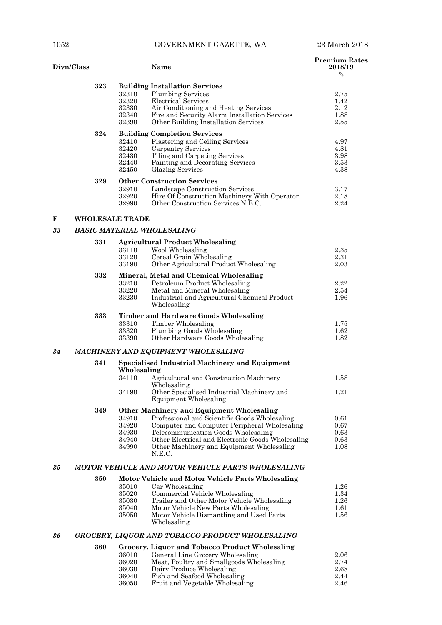| Divn/Class |     |                                           | Name                                                                                                                                                                                                                                                                                                 | <b>Premium Rates</b><br>2018/19<br>$\%$ |
|------------|-----|-------------------------------------------|------------------------------------------------------------------------------------------------------------------------------------------------------------------------------------------------------------------------------------------------------------------------------------------------------|-----------------------------------------|
|            | 323 | 32310<br>32320<br>32330<br>32340<br>32390 | <b>Building Installation Services</b><br><b>Plumbing Services</b><br>Electrical Services<br>Air Conditioning and Heating Services<br>Fire and Security Alarm Installation Services<br>Other Building Installation Services                                                                           | 2.75<br>1.42<br>2.12<br>1.88<br>2.55    |
|            | 324 | 32410<br>32420<br>32430<br>32440<br>32450 | <b>Building Completion Services</b><br>Plastering and Ceiling Services<br><b>Carpentry Services</b><br>Tiling and Carpeting Services<br>Painting and Decorating Services<br><b>Glazing Services</b>                                                                                                  | 4.97<br>4.81<br>3.98<br>3.53<br>4.38    |
|            | 329 | 32910<br>32920<br>32990                   | <b>Other Construction Services</b><br>Landscape Construction Services<br>Hire Of Construction Machinery With Operator<br>Other Construction Services N.E.C.                                                                                                                                          | 3.17<br>2.18<br>2.24                    |
| F          |     | <b>WHOLESALE TRADE</b>                    |                                                                                                                                                                                                                                                                                                      |                                         |
| 33         |     |                                           | <b>BASIC MATERIAL WHOLESALING</b>                                                                                                                                                                                                                                                                    |                                         |
|            | 331 | 33110<br>33120<br>33190                   | <b>Agricultural Product Wholesaling</b><br>Wool Wholesaling<br>Cereal Grain Wholesaling<br>Other Agricultural Product Wholesaling                                                                                                                                                                    | 2.35<br>2.31<br>2.03                    |
|            | 332 | 33210<br>33220<br>33230                   | Mineral, Metal and Chemical Wholesaling<br>Petroleum Product Wholesaling<br>Metal and Mineral Wholesaling<br>Industrial and Agricultural Chemical Product<br>Wholesaling                                                                                                                             | 2.22<br>2.54<br>1.96                    |
|            | 333 | 33310<br>33320<br>33390                   | <b>Timber and Hardware Goods Wholesaling</b><br>Timber Wholesaling<br>Plumbing Goods Wholesaling<br>Other Hardware Goods Wholesaling                                                                                                                                                                 | 1.75<br>1.62<br>1.82                    |
| 34         |     |                                           | MACHINERY AND EQUIPMENT WHOLESALING                                                                                                                                                                                                                                                                  |                                         |
|            | 341 | Wholesaling                               | <b>Specialised Industrial Machinery and Equipment</b>                                                                                                                                                                                                                                                |                                         |
|            |     | 34110<br>34190                            | Agricultural and Construction Machinery<br>Wholesaling<br>Other Specialised Industrial Machinery and<br><b>Equipment Wholesaling</b>                                                                                                                                                                 | 1.58<br>1.21                            |
|            | 349 | 34910<br>34920<br>34930<br>34940<br>34990 | <b>Other Machinery and Equipment Wholesaling</b><br>Professional and Scientific Goods Wholesaling<br>Computer and Computer Peripheral Wholesaling<br>Telecommunication Goods Wholesaling<br>Other Electrical and Electronic Goods Wholesaling<br>Other Machinery and Equipment Wholesaling<br>N.E.C. | 0.61<br>0.67<br>0.63<br>0.63<br>1.08    |
| 35         |     |                                           | <b>MOTOR VEHICLE AND MOTOR VEHICLE PARTS WHOLESALING</b>                                                                                                                                                                                                                                             |                                         |
|            | 350 | 35010<br>35020<br>35030<br>35040<br>35050 | Motor Vehicle and Motor Vehicle Parts Wholesaling<br>Car Wholesaling<br>Commercial Vehicle Wholesaling<br>Trailer and Other Motor Vehicle Wholesaling<br>Motor Vehicle New Parts Wholesaling<br>Motor Vehicle Dismantling and Used Parts<br>Wholesaling                                              | 1.26<br>1.34<br>1.26<br>1.61<br>1.56    |
| 36         |     |                                           | GROCERY, LIQUOR AND TOBACCO PRODUCT WHOLESALING                                                                                                                                                                                                                                                      |                                         |
|            | 360 | 36010<br>36020<br>36030<br>36040          | Grocery, Liquor and Tobacco Product Wholesaling<br>General Line Grocery Wholesaling<br>Meat, Poultry and Smallgoods Wholesaling<br>Dairy Produce Wholesaling<br>Fish and Seafood Wholesaling                                                                                                         | 2.06<br>2.74<br>2.68<br>2.44            |

Fruit and Vegetable Wholesaling 2.46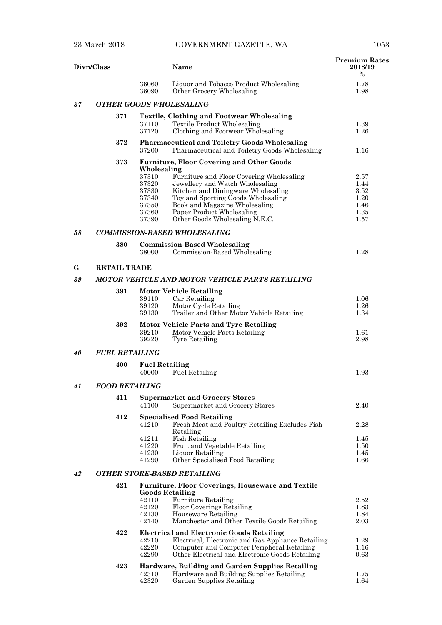|    | Divn/Class            |                                | Name                                                                                                  | <b>Premium Rates</b><br>2018/19<br>$\%$ |
|----|-----------------------|--------------------------------|-------------------------------------------------------------------------------------------------------|-----------------------------------------|
|    |                       | 36060<br>36090                 | Liquor and Tobacco Product Wholesaling<br>Other Grocery Wholesaling                                   | 1.78<br>1.98                            |
| 37 |                       |                                | <b>OTHER GOODS WHOLESALING</b>                                                                        |                                         |
|    | 371                   |                                | <b>Textile, Clothing and Footwear Wholesaling</b>                                                     |                                         |
|    |                       | 37110<br>37120                 | <b>Textile Product Wholesaling</b><br>Clothing and Footwear Wholesaling                               | 1.39<br>1.26                            |
|    | 372                   | 37200                          | <b>Pharmaceutical and Toiletry Goods Wholesaling</b><br>Pharmaceutical and Toiletry Goods Wholesaling | 1.16                                    |
|    | 373                   | Wholesaling                    | <b>Furniture, Floor Covering and Other Goods</b>                                                      |                                         |
|    |                       | 37310                          | Furniture and Floor Covering Wholesaling                                                              | 2.57                                    |
|    |                       | 37320                          | Jewellery and Watch Wholesaling                                                                       | 1.44                                    |
|    |                       | 37330<br>37340                 | Kitchen and Diningware Wholesaling<br>Toy and Sporting Goods Wholesaling                              | 3.52<br>1.20                            |
|    |                       | 37350                          | Book and Magazine Wholesaling                                                                         | 1.46                                    |
|    |                       | 37360                          | Paper Product Wholesaling                                                                             | 1.35                                    |
|    |                       | 37390                          | Other Goods Wholesaling N.E.C.                                                                        | 1.57                                    |
| 38 |                       |                                | <b>COMMISSION-BASED WHOLESALING</b>                                                                   |                                         |
|    | 380                   |                                | <b>Commission-Based Wholesaling</b>                                                                   |                                         |
|    |                       | 38000                          | Commission-Based Wholesaling                                                                          | 1.28                                    |
| G  | <b>RETAIL TRADE</b>   |                                |                                                                                                       |                                         |
| 39 |                       |                                | MOTOR VEHICLE AND MOTOR VEHICLE PARTS RETAILING                                                       |                                         |
|    | 391                   |                                | <b>Motor Vehicle Retailing</b>                                                                        |                                         |
|    |                       | 39110                          | Car Retailing                                                                                         | 1.06                                    |
|    |                       | 39120                          | Motor Cycle Retailing                                                                                 | 1.26                                    |
|    |                       | 39130                          | Trailer and Other Motor Vehicle Retailing                                                             | 1.34                                    |
|    | 392                   | 39210<br>39220                 | <b>Motor Vehicle Parts and Tyre Retailing</b><br>Motor Vehicle Parts Retailing<br>Tyre Retailing      | 1.61<br>2.98                            |
| 40 | <b>FUEL RETAILING</b> |                                |                                                                                                       |                                         |
|    | 400                   | <b>Fuel Retailing</b><br>40000 | <b>Fuel Retailing</b>                                                                                 | 1.93                                    |
| 41 | <b>FOOD RETAILING</b> |                                |                                                                                                       |                                         |
|    | 411                   |                                | <b>Supermarket and Grocery Stores</b>                                                                 |                                         |
|    |                       | 41100                          | Supermarket and Grocery Stores                                                                        | 2.40                                    |
|    | 412                   | 41210                          | <b>Specialised Food Retailing</b><br>Fresh Meat and Poultry Retailing Excludes Fish                   | 2.28                                    |
|    |                       | 41211                          | Retailing<br><b>Fish Retailing</b>                                                                    |                                         |
|    |                       | 41220                          | Fruit and Vegetable Retailing                                                                         | 1.45<br>1.50                            |
|    |                       | 41230                          | Liquor Retailing                                                                                      | 1.45                                    |
|    |                       | 41290                          | Other Specialised Food Retailing                                                                      | 1.66                                    |
| 42 |                       |                                | <b>OTHER STORE-BASED RETAILING</b>                                                                    |                                         |
|    | 421                   |                                | <b>Furniture, Floor Coverings, Houseware and Textile</b><br><b>Goods Retailing</b>                    |                                         |
|    |                       | 42110                          | <b>Furniture Retailing</b>                                                                            | 2.52                                    |
|    |                       | 42120                          | Floor Coverings Retailing                                                                             | 1.83                                    |
|    |                       | 42130<br>42140                 | Houseware Retailing<br>Manchester and Other Textile Goods Retailing                                   | 1.84<br>2.03                            |
|    | 422                   |                                | <b>Electrical and Electronic Goods Retailing</b>                                                      |                                         |
|    |                       | 42210                          | Electrical, Electronic and Gas Appliance Retailing                                                    | 1.29                                    |
|    |                       | 42220                          | Computer and Computer Peripheral Retailing                                                            | 1.16                                    |
|    |                       | 42290                          | Other Electrical and Electronic Goods Retailing                                                       | 0.63                                    |
|    | 423                   |                                | Hardware, Building and Garden Supplies Retailing                                                      |                                         |
|    |                       | 42310                          | Hardware and Building Supplies Retailing                                                              | 1.75                                    |
|    |                       | 42320                          | Garden Supplies Retailing                                                                             | 1.64                                    |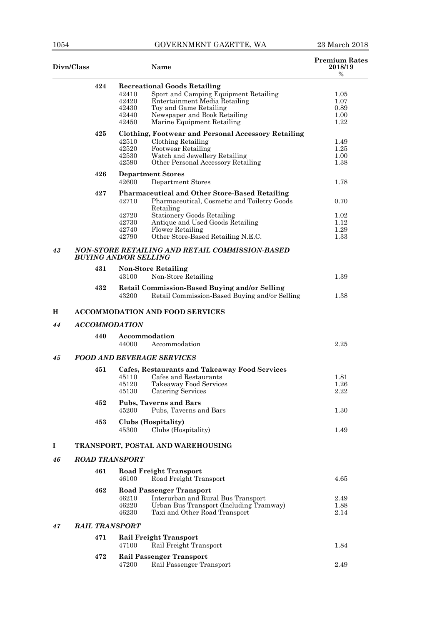| Divn/Class |                       | <b>Name</b>                                                                                                                                                                                                                                        | <b>Premium Rates</b><br>2018/19<br>$\%$ |  |  |  |
|------------|-----------------------|----------------------------------------------------------------------------------------------------------------------------------------------------------------------------------------------------------------------------------------------------|-----------------------------------------|--|--|--|
|            | 424                   | <b>Recreational Goods Retailing</b><br>42410<br>Sport and Camping Equipment Retailing<br>42420<br>Entertainment Media Retailing<br>42430<br>Toy and Game Retailing<br>42440<br>Newspaper and Book Retailing<br>Marine Equipment Retailing<br>42450 | 1.05<br>1.07<br>0.89<br>1.00<br>1.22    |  |  |  |
|            | 425                   | <b>Clothing, Footwear and Personal Accessory Retailing</b><br>Clothing Retailing<br>42510<br>42520<br>Footwear Retailing<br>Watch and Jewellery Retailing<br>42530                                                                                 | 1.49<br>1.25<br>1.00                    |  |  |  |
|            | 426                   | Other Personal Accessory Retailing<br>42590<br><b>Department Stores</b><br>42600<br><b>Department Stores</b>                                                                                                                                       | 1.38<br>1.78                            |  |  |  |
|            | 427                   | Pharmaceutical and Other Store-Based Retailing<br>42710<br>Pharmaceutical, Cosmetic and Toiletry Goods<br>Retailing                                                                                                                                | 0.70                                    |  |  |  |
|            |                       | <b>Stationery Goods Retailing</b><br>42720<br>Antique and Used Goods Retailing<br>42730<br>42740<br>Flower Retailing<br>Other Store-Based Retailing N.E.C.<br>42790                                                                                | 1.02<br>1.12<br>1.29<br>1.33            |  |  |  |
| 43         |                       | NON-STORE RETAILING AND RETAIL COMMISSION-BASED<br><b>BUYING AND/OR SELLING</b>                                                                                                                                                                    |                                         |  |  |  |
|            | 431                   | <b>Non-Store Retailing</b><br>43100<br>Non-Store Retailing                                                                                                                                                                                         | 1.39                                    |  |  |  |
|            | 432                   | <b>Retail Commission-Based Buying and/or Selling</b><br>Retail Commission-Based Buying and/or Selling<br>43200                                                                                                                                     | 1.38                                    |  |  |  |
| н          |                       | <b>ACCOMMODATION AND FOOD SERVICES</b>                                                                                                                                                                                                             |                                         |  |  |  |
| 44         | <b>ACCOMMODATION</b>  |                                                                                                                                                                                                                                                    |                                         |  |  |  |
|            | 440                   | Accommodation<br>Accommodation<br>44000                                                                                                                                                                                                            | 2.25                                    |  |  |  |
| 45         |                       | <b>FOOD AND BEVERAGE SERVICES</b>                                                                                                                                                                                                                  |                                         |  |  |  |
|            | 451                   | <b>Cafes, Restaurants and Takeaway Food Services</b><br>45110<br>Cafes and Restaurants<br>45120<br>Takeaway Food Services<br>45130<br>Catering Services                                                                                            | 1.81<br>1.26<br>2.22                    |  |  |  |
|            | 452                   | <b>Pubs, Taverns and Bars</b><br>Pubs, Taverns and Bars<br>45200                                                                                                                                                                                   | 1.30                                    |  |  |  |
|            | 453                   | Clubs (Hospitality)<br>Clubs (Hospitality)<br>45300                                                                                                                                                                                                | 1.49                                    |  |  |  |
| 1          |                       | TRANSPORT, POSTAL AND WAREHOUSING                                                                                                                                                                                                                  |                                         |  |  |  |
| 46         | <b>ROAD TRANSPORT</b> |                                                                                                                                                                                                                                                    |                                         |  |  |  |
|            | 461                   | <b>Road Freight Transport</b><br>46100<br>Road Freight Transport                                                                                                                                                                                   | 4.65                                    |  |  |  |
|            | 462                   | <b>Road Passenger Transport</b><br>46210<br>Interurban and Rural Bus Transport<br>46220<br>Urban Bus Transport (Including Tramway)<br>46230<br>Taxi and Other Road Transport                                                                       | 2.49<br>1.88<br>2.14                    |  |  |  |
| 47         | <b>RAIL TRANSPORT</b> |                                                                                                                                                                                                                                                    |                                         |  |  |  |
|            | 471                   | <b>Rail Freight Transport</b><br>Rail Freight Transport<br>47100                                                                                                                                                                                   | 1.84                                    |  |  |  |
|            | 472                   | <b>Rail Passenger Transport</b><br>Rail Passenger Transport<br>47200                                                                                                                                                                               | $2.49\,$                                |  |  |  |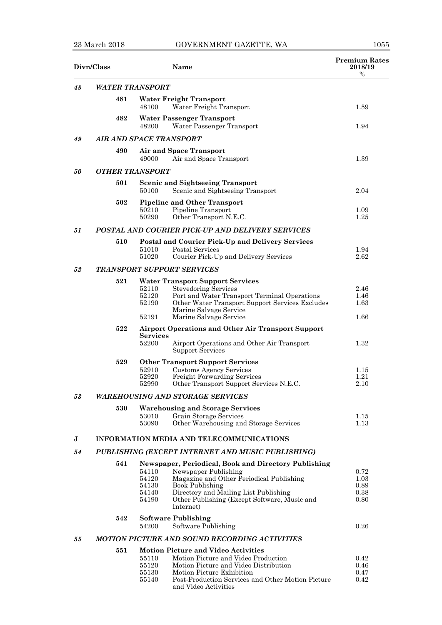## 23 March 2018 GOVERNMENT GAZETTE, WA 1055

| Divn/Class |                                                   |                                           | Name                                                                                                                                                                                                                                                     | <b>Premium Rates</b><br>2018/19<br>$\%$ |  |
|------------|---------------------------------------------------|-------------------------------------------|----------------------------------------------------------------------------------------------------------------------------------------------------------------------------------------------------------------------------------------------------------|-----------------------------------------|--|
| 48         | <b>WATER TRANSPORT</b>                            |                                           |                                                                                                                                                                                                                                                          |                                         |  |
|            | 481                                               | 48100                                     | <b>Water Freight Transport</b><br>Water Freight Transport                                                                                                                                                                                                | 1.59                                    |  |
|            | 482                                               | 48200                                     | <b>Water Passenger Transport</b><br>Water Passenger Transport                                                                                                                                                                                            | 1.94                                    |  |
| 49         | <b>AIR AND SPACE TRANSPORT</b>                    |                                           |                                                                                                                                                                                                                                                          |                                         |  |
|            | 490                                               | 49000                                     | <b>Air and Space Transport</b><br>Air and Space Transport                                                                                                                                                                                                | 1.39                                    |  |
| 50         | <b>OTHER TRANSPORT</b>                            |                                           |                                                                                                                                                                                                                                                          |                                         |  |
|            | 501                                               | 50100                                     | <b>Scenic and Sightseeing Transport</b><br>Scenic and Sightseeing Transport                                                                                                                                                                              | 2.04                                    |  |
|            | 502                                               | 50210<br>50290                            | <b>Pipeline and Other Transport</b><br>Pipeline Transport<br>Other Transport N.E.C.                                                                                                                                                                      | 1.09<br>1.25                            |  |
| 51         |                                                   |                                           | <b>POSTAL AND COURIER PICK-UP AND DELIVERY SERVICES</b>                                                                                                                                                                                                  |                                         |  |
|            | 510                                               | 51010<br>51020                            | Postal and Courier Pick-Up and Delivery Services<br>Postal Services<br>Courier Pick-Up and Delivery Services                                                                                                                                             | 1.94<br>2.62                            |  |
| 52         |                                                   |                                           | <b>TRANSPORT SUPPORT SERVICES</b>                                                                                                                                                                                                                        |                                         |  |
|            | 521                                               | 52110<br>52120<br>52190<br>52191          | <b>Water Transport Support Services</b><br><b>Stevedoring Services</b><br>Port and Water Transport Terminal Operations<br>Other Water Transport Support Services Excludes<br>Marine Salvage Service<br>Marine Salvage Service                            | 2.46<br>1.46<br>1.63<br>1.66            |  |
|            | 522                                               |                                           | <b>Airport Operations and Other Air Transport Support</b>                                                                                                                                                                                                |                                         |  |
|            |                                                   | <b>Services</b><br>52200                  | Airport Operations and Other Air Transport<br><b>Support Services</b>                                                                                                                                                                                    | 1.32                                    |  |
|            | 529                                               | 52910<br>52920<br>52990                   | <b>Other Transport Support Services</b><br><b>Customs Agency Services</b><br>Freight Forwarding Services<br>Other Transport Support Services N.E.C.                                                                                                      | 1.15<br>1.21<br>2.10                    |  |
| 53         |                                                   |                                           | <b>WAREHOUSING AND STORAGE SERVICES</b>                                                                                                                                                                                                                  |                                         |  |
|            | 530                                               | 53010<br>53090                            | <b>Warehousing and Storage Services</b><br>Grain Storage Services<br>Other Warehousing and Storage Services                                                                                                                                              | 1.15<br>1.13                            |  |
| J          |                                                   |                                           | INFORMATION MEDIA AND TELECOMMUNICATIONS                                                                                                                                                                                                                 |                                         |  |
| 54         | PUBLISHING (EXCEPT INTERNET AND MUSIC PUBLISHING) |                                           |                                                                                                                                                                                                                                                          |                                         |  |
|            | 541                                               | 54110<br>54120<br>54130<br>54140<br>54190 | Newspaper, Periodical, Book and Directory Publishing<br>Newspaper Publishing<br>Magazine and Other Periodical Publishing<br><b>Book Publishing</b><br>Directory and Mailing List Publishing<br>Other Publishing (Except Software, Music and<br>Internet) | 0.72<br>1.03<br>0.89<br>0.38<br>0.80    |  |
|            | 542                                               | 54200                                     | <b>Software Publishing</b><br>Software Publishing                                                                                                                                                                                                        | 0.26                                    |  |
| 55         |                                                   |                                           | <b>MOTION PICTURE AND SOUND RECORDING ACTIVITIES</b>                                                                                                                                                                                                     |                                         |  |
|            | 551                                               | 55110<br>55120<br>55130<br>55140          | <b>Motion Picture and Video Activities</b><br>Motion Picture and Video Production<br>Motion Picture and Video Distribution<br>Motion Picture Exhibition<br>Post-Production Services and Other Motion Picture<br>and Video Activities                     | 0.42<br>0.46<br>0.47<br>0.42            |  |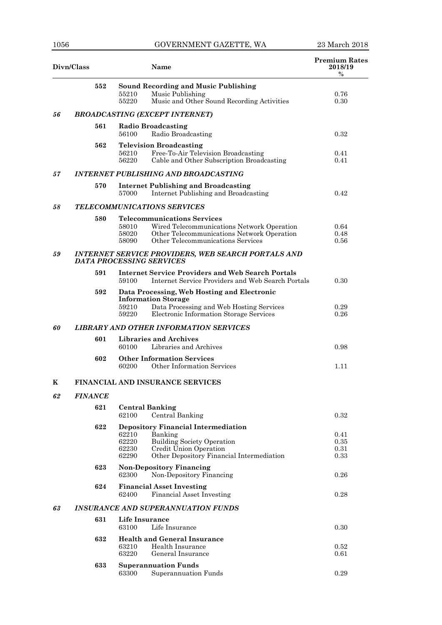| Divn/Class |                       | <b>Name</b>                                                                                                                                                                                           | <b>Premium Rates</b><br>2018/19<br>$\%$ |  |
|------------|-----------------------|-------------------------------------------------------------------------------------------------------------------------------------------------------------------------------------------------------|-----------------------------------------|--|
|            | 552                   | <b>Sound Recording and Music Publishing</b><br>Music Publishing<br>55210<br>Music and Other Sound Recording Activities<br>55220                                                                       | 0.76<br>0.30                            |  |
| 56         |                       | <b>BROADCASTING (EXCEPT INTERNET)</b>                                                                                                                                                                 |                                         |  |
|            | 561                   | <b>Radio Broadcasting</b><br>56100<br>Radio Broadcasting                                                                                                                                              | 0.32                                    |  |
|            | 562                   | <b>Television Broadcasting</b><br>Free-To-Air Television Broadcasting<br>56210<br>Cable and Other Subscription Broadcasting<br>56220                                                                  | 0.41<br>0.41                            |  |
| 57         |                       | <b>INTERNET PUBLISHING AND BROADCASTING</b>                                                                                                                                                           |                                         |  |
|            | 570                   | <b>Internet Publishing and Broadcasting</b><br>Internet Publishing and Broadcasting<br>57000                                                                                                          | 0.42                                    |  |
| 58         |                       | <b>TELECOMMUNICATIONS SERVICES</b>                                                                                                                                                                    |                                         |  |
|            | 580                   | <b>Telecommunications Services</b><br>58010<br>Wired Telecommunications Network Operation<br>Other Telecommunications Network Operation<br>58020<br>Other Telecommunications Services<br>58090        | 0.64<br>0.48<br>0.56                    |  |
| 59         |                       | <b>INTERNET SERVICE PROVIDERS, WEB SEARCH PORTALS AND</b><br><b>DATA PROCESSING SERVICES</b>                                                                                                          |                                         |  |
|            | 591                   | <b>Internet Service Providers and Web Search Portals</b><br>Internet Service Providers and Web Search Portals<br>59100                                                                                | 0.30                                    |  |
|            | 592                   | Data Processing, Web Hosting and Electronic<br><b>Information Storage</b><br>Data Processing and Web Hosting Services<br>59210<br>Electronic Information Storage Services<br>59220                    | 0.29<br>0.26                            |  |
| 60         |                       | <b>LIBRARY AND OTHER INFORMATION SERVICES</b>                                                                                                                                                         |                                         |  |
|            | 601                   | <b>Libraries and Archives</b><br>Libraries and Archives<br>60100                                                                                                                                      | 0.98                                    |  |
|            | 602                   | <b>Other Information Services</b><br>Other Information Services<br>60200                                                                                                                              | 1.11                                    |  |
| K          |                       | <b>FINANCIAL AND INSURANCE SERVICES</b>                                                                                                                                                               |                                         |  |
| 62         | <i><b>FINANCE</b></i> |                                                                                                                                                                                                       |                                         |  |
|            | 621                   | <b>Central Banking</b><br>62100<br>Central Banking                                                                                                                                                    | 0.32                                    |  |
|            | 622                   | <b>Depository Financial Intermediation</b><br>62210<br>Banking<br>62220<br><b>Building Society Operation</b><br>62230<br>Credit Union Operation<br>Other Depository Financial Intermediation<br>62290 | $0.41\,$<br>0.35<br>0.31<br>0.33        |  |
|            | 623                   | <b>Non-Depository Financing</b><br>Non-Depository Financing<br>62300                                                                                                                                  | 0.26                                    |  |
|            | 624                   | <b>Financial Asset Investing</b><br>62400<br>Financial Asset Investing                                                                                                                                | 0.28                                    |  |
| 63         |                       | <b>INSURANCE AND SUPERANNUATION FUNDS</b>                                                                                                                                                             |                                         |  |
|            | 631                   | Life Insurance<br>63100<br>Life Insurance                                                                                                                                                             | 0.30                                    |  |
|            | 632                   | <b>Health and General Insurance</b><br>63210<br>Health Insurance<br>63220<br>General Insurance                                                                                                        | 0.52<br>0.61                            |  |
|            | 633                   | <b>Superannuation Funds</b><br>63300<br>Superannuation Funds                                                                                                                                          | 0.29                                    |  |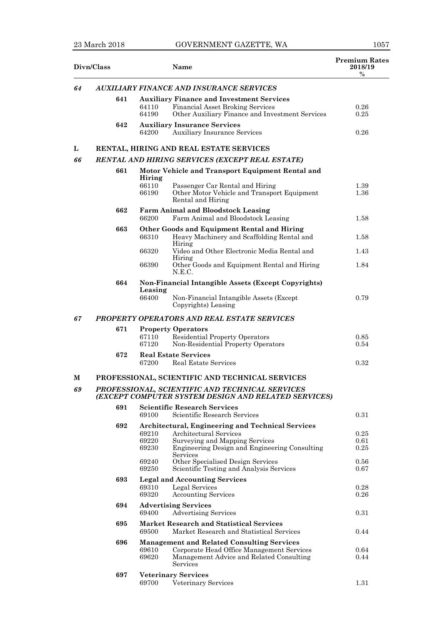## 23 March 2018 GOVERNMENT GAZETTE, WA 1057

| Divn/Class |     | Name                                                                                                                  | <b>Premium Rates</b><br>2018/19<br>$\%$ |
|------------|-----|-----------------------------------------------------------------------------------------------------------------------|-----------------------------------------|
| 64         |     | <b>AUXILIARY FINANCE AND INSURANCE SERVICES</b>                                                                       |                                         |
|            | 641 | <b>Auxiliary Finance and Investment Services</b>                                                                      |                                         |
|            |     | <b>Financial Asset Broking Services</b><br>64110                                                                      | 0.26                                    |
|            |     | 64190<br>Other Auxiliary Finance and Investment Services                                                              | 0.25                                    |
|            | 642 | <b>Auxiliary Insurance Services</b><br><b>Auxiliary Insurance Services</b><br>64200                                   | 0.26                                    |
| L          |     | RENTAL, HIRING AND REAL ESTATE SERVICES                                                                               |                                         |
| 66         |     | RENTAL AND HIRING SERVICES (EXCEPT REAL ESTATE)                                                                       |                                         |
|            | 661 | Motor Vehicle and Transport Equipment Rental and                                                                      |                                         |
|            |     | Hiring                                                                                                                |                                         |
|            |     | 66110<br>Passenger Car Rental and Hiring<br>66190<br>Other Motor Vehicle and Transport Equipment<br>Rental and Hiring | 1.39<br>1.36                            |
|            | 662 | <b>Farm Animal and Bloodstock Leasing</b><br>66200<br>Farm Animal and Bloodstock Leasing                              | 1.58                                    |
|            | 663 | Other Goods and Equipment Rental and Hiring                                                                           |                                         |
|            |     | 66310<br>Heavy Machinery and Scaffolding Rental and                                                                   | 1.58                                    |
|            |     | Hiring<br>66320<br>Video and Other Electronic Media Rental and                                                        | 1.43                                    |
|            |     | Hiring                                                                                                                |                                         |
|            |     | 66390<br>Other Goods and Equipment Rental and Hiring<br>N.E.C.                                                        | 1.84                                    |
|            | 664 | Non-Financial Intangible Assets (Except Copyrights)<br>Leasing                                                        |                                         |
|            |     | 66400<br>Non-Financial Intangible Assets (Except<br>Copyrights) Leasing                                               | 0.79                                    |
| 67         |     | <b>PROPERTY OPERATORS AND REAL ESTATE SERVICES</b>                                                                    |                                         |
|            | 671 | <b>Property Operators</b>                                                                                             |                                         |
|            |     | <b>Residential Property Operators</b><br>67110<br>Non-Residential Property Operators<br>67120                         | 0.85<br>0.54                            |
|            | 672 | <b>Real Estate Services</b><br>Real Estate Services<br>67200                                                          | 0.32                                    |
| M          |     | PROFESSIONAL, SCIENTIFIC AND TECHNICAL SERVICES                                                                       |                                         |
| 69         |     | <b>PROFESSIONAL, SCIENTIFIC AND TECHNICAL SERVICES</b><br>(EXCEPT COMPUTER SYSTEM DESIGN AND RELATED SERVICES)        |                                         |
|            | 691 | <b>Scientific Research Services</b>                                                                                   |                                         |
|            |     | Scientific Research Services<br>69100                                                                                 | 0.31                                    |
|            | 692 | Architectural, Engineering and Technical Services                                                                     |                                         |
|            |     | Architectural Services<br>69210<br>69220<br>Surveying and Mapping Services                                            | 0.25<br>0.61                            |
|            |     | Engineering Design and Engineering Consulting<br>69230                                                                | 0.25                                    |
|            |     | Services<br>Other Specialised Design Services<br>69240                                                                | 0.56                                    |
|            |     | 69250<br>Scientific Testing and Analysis Services                                                                     | 0.67                                    |
|            | 693 | <b>Legal and Accounting Services</b>                                                                                  |                                         |
|            |     | 69310<br>Legal Services                                                                                               | 0.28                                    |
|            |     | 69320<br><b>Accounting Services</b>                                                                                   | 0.26                                    |
|            | 694 | <b>Advertising Services</b><br>69400<br><b>Advertising Services</b>                                                   | 0.31                                    |
|            | 695 | <b>Market Research and Statistical Services</b><br>Market Research and Statistical Services<br>69500                  | 0.44                                    |
|            | 696 | <b>Management and Related Consulting Services</b>                                                                     |                                         |
|            |     | 69610<br>Corporate Head Office Management Services<br>69620<br>Management Advice and Related Consulting<br>Services   | 0.64<br>0.44                            |
|            | 697 | <b>Veterinary Services</b>                                                                                            |                                         |
|            |     | 69700<br>Veterinary Services                                                                                          | 1.31                                    |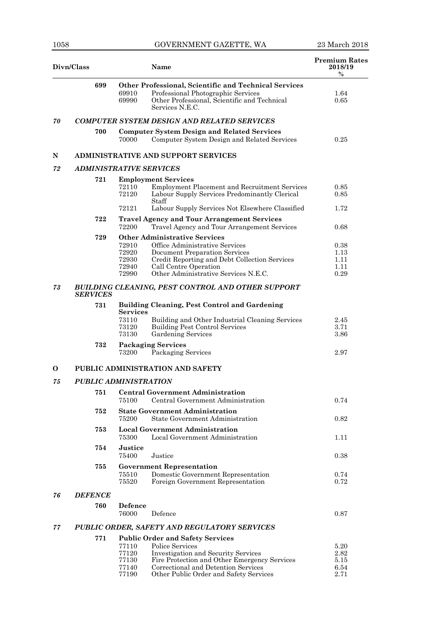| Divn/Class |                                |                         | <b>Name</b>                                                                                                                                                    | <b>Premium Rates</b><br>2018/19<br>$\%$ |
|------------|--------------------------------|-------------------------|----------------------------------------------------------------------------------------------------------------------------------------------------------------|-----------------------------------------|
|            | 699                            | 69910<br>69990          | Other Professional, Scientific and Technical Services<br>Professional Photographic Services<br>Other Professional, Scientific and Technical<br>Services N.E.C. | 1.64<br>0.65                            |
| 70         |                                |                         | <b>COMPUTER SYSTEM DESIGN AND RELATED SERVICES</b>                                                                                                             |                                         |
|            | 700                            | 70000                   | <b>Computer System Design and Related Services</b><br>Computer System Design and Related Services                                                              | 0.25                                    |
| N          |                                |                         | <b>ADMINISTRATIVE AND SUPPORT SERVICES</b>                                                                                                                     |                                         |
| 72         | <b>ADMINISTRATIVE SERVICES</b> |                         |                                                                                                                                                                |                                         |
|            | 721                            |                         | <b>Employment Services</b>                                                                                                                                     |                                         |
|            |                                | 72110<br>72120          | <b>Employment Placement and Recruitment Services</b><br>Labour Supply Services Predominantly Clerical<br>Staff                                                 | 0.85<br>0.85                            |
|            |                                | 72121                   | Labour Supply Services Not Elsewhere Classified                                                                                                                | 1.72                                    |
|            | 722                            | 72200                   | <b>Travel Agency and Tour Arrangement Services</b><br>Travel Agency and Tour Arrangement Services                                                              | 0.68                                    |
|            | 729                            |                         | <b>Other Administrative Services</b>                                                                                                                           |                                         |
|            |                                | 72910<br>72920          | Office Administrative Services<br><b>Document Preparation Services</b>                                                                                         | 0.38<br>1.13                            |
|            |                                | 72930                   | Credit Reporting and Debt Collection Services                                                                                                                  | 1.11                                    |
|            |                                | 72940                   | Call Centre Operation                                                                                                                                          | 1.11                                    |
|            |                                | 72990                   | Other Administrative Services N.E.C.                                                                                                                           | 0.29                                    |
| 73         | <b>SERVICES</b>                |                         | BUILDING CLEANING, PEST CONTROL AND OTHER SUPPORT                                                                                                              |                                         |
|            | 731                            | <b>Services</b>         | <b>Building Cleaning, Pest Control and Gardening</b>                                                                                                           |                                         |
|            |                                | 73110<br>73120<br>73130 | Building and Other Industrial Cleaning Services<br><b>Building Pest Control Services</b><br>Gardening Services                                                 | 2.45<br>3.71<br>3.86                    |
|            | 732                            | 73200                   | <b>Packaging Services</b><br>Packaging Services                                                                                                                | 2.97                                    |
| 0          |                                |                         | PUBLIC ADMINISTRATION AND SAFETY                                                                                                                               |                                         |
| 75         | <b>PUBLIC ADMINISTRATION</b>   |                         |                                                                                                                                                                |                                         |
|            | 751                            |                         | <b>Central Government Administration</b>                                                                                                                       |                                         |
|            |                                | 75100                   | Central Government Administration                                                                                                                              | 0.74                                    |
|            | 752                            | 75200                   | <b>State Government Administration</b><br><b>State Government Administration</b>                                                                               | 0.82                                    |
|            | 753                            | 75300                   | <b>Local Government Administration</b><br>Local Government Administration                                                                                      | 1.11                                    |
|            | 754                            | <b>Justice</b><br>75400 | Justice                                                                                                                                                        | 0.38                                    |
|            | 755                            |                         | <b>Government Representation</b>                                                                                                                               |                                         |
|            |                                | 75510<br>75520          | Domestic Government Representation<br>Foreign Government Representation                                                                                        | 0.74<br>0.72                            |
| 76         | <b>DEFENCE</b>                 |                         |                                                                                                                                                                |                                         |
|            | 760                            | Defence<br>76000        | Defence                                                                                                                                                        | 0.87                                    |
| 77         |                                |                         | PUBLIC ORDER, SAFETY AND REGULATORY SERVICES                                                                                                                   |                                         |
|            | 771                            |                         | <b>Public Order and Safety Services</b>                                                                                                                        |                                         |
|            |                                | 77110                   | Police Services                                                                                                                                                | 5.20                                    |
|            |                                | 77120                   | <b>Investigation and Security Services</b>                                                                                                                     | 2.82                                    |
|            |                                | 77130<br>77140          | Fire Protection and Other Emergency Services<br>Correctional and Detention Services                                                                            | 5.15<br>6.54                            |
|            |                                | 77190                   | Other Public Order and Safety Services                                                                                                                         | 2.71                                    |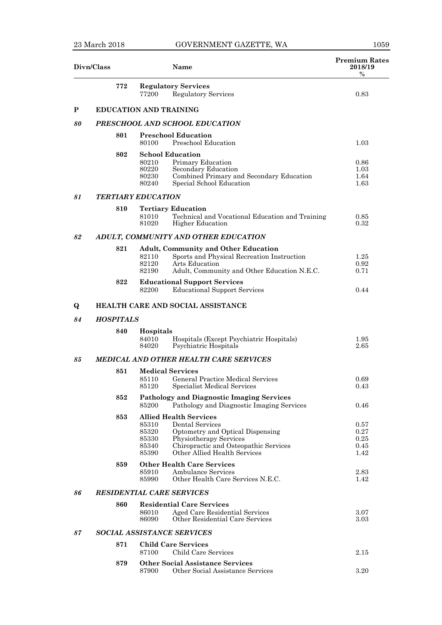| Divn/Class |                  | Name                                                                                                                                                                                                                                 | <b>Premium Rates</b><br>2018/19<br>$\%$ |
|------------|------------------|--------------------------------------------------------------------------------------------------------------------------------------------------------------------------------------------------------------------------------------|-----------------------------------------|
|            | 772              | <b>Regulatory Services</b><br><b>Regulatory Services</b><br>77200                                                                                                                                                                    | 0.83                                    |
| P          |                  | <b>EDUCATION AND TRAINING</b>                                                                                                                                                                                                        |                                         |
| 80         |                  | PRESCHOOL AND SCHOOL EDUCATION                                                                                                                                                                                                       |                                         |
|            | 801              | <b>Preschool Education</b><br>Preschool Education<br>80100                                                                                                                                                                           | 1.03                                    |
|            | 802              | <b>School Education</b><br>Primary Education<br>80210<br>Secondary Education<br>80220<br>Combined Primary and Secondary Education<br>80230<br>Special School Education<br>80240                                                      | 0.86<br>1.03<br>1.64<br>1.63            |
| 81         |                  | <b>TERTIARY EDUCATION</b>                                                                                                                                                                                                            |                                         |
|            | 810              | <b>Tertiary Education</b><br>81010<br>Technical and Vocational Education and Training<br><b>Higher Education</b><br>81020                                                                                                            | 0.85<br>0.32                            |
| 82         |                  | ADULT, COMMUNITY AND OTHER EDUCATION                                                                                                                                                                                                 |                                         |
|            | 821              | <b>Adult, Community and Other Education</b><br>Sports and Physical Recreation Instruction<br>82110<br>82120<br>Arts Education<br>82190<br>Adult, Community and Other Education N.E.C.                                                | 1.25<br>0.92<br>0.71                    |
|            | 822              | <b>Educational Support Services</b><br>82200<br><b>Educational Support Services</b>                                                                                                                                                  | 0.44                                    |
| $\bf{Q}$   |                  | <b>HEALTH CARE AND SOCIAL ASSISTANCE</b>                                                                                                                                                                                             |                                         |
| 84         | <b>HOSPITALS</b> |                                                                                                                                                                                                                                      |                                         |
|            | 840              | Hospitals<br>84010<br>Hospitals (Except Psychiatric Hospitals)<br>84020<br>Psychiatric Hospitals                                                                                                                                     | 1.95<br>2.65                            |
| 85         |                  | <b>MEDICAL AND OTHER HEALTH CARE SERVICES</b>                                                                                                                                                                                        |                                         |
|            | 851              | <b>Medical Services</b><br>General Practice Medical Services<br>85110<br>85120<br>Specialist Medical Services                                                                                                                        | 0.69<br>$\rm 0.43$                      |
|            | 852              | <b>Pathology and Diagnostic Imaging Services</b><br>Pathology and Diagnostic Imaging Services<br>85200                                                                                                                               | 0.46                                    |
|            | 853              | <b>Allied Health Services</b><br>85310<br>Dental Services<br>Optometry and Optical Dispensing<br>85320<br>85330<br>Physiotherapy Services<br>Chiropractic and Osteopathic Services<br>85340<br>Other Allied Health Services<br>85390 | 0.57<br>0.27<br>0.25<br>0.45<br>1.42    |
|            | 859              | <b>Other Health Care Services</b><br><b>Ambulance Services</b><br>85910<br>Other Health Care Services N.E.C.<br>85990                                                                                                                | 2.83<br>1.42                            |
| 86         |                  | <b>RESIDENTIAL CARE SERVICES</b>                                                                                                                                                                                                     |                                         |
|            | 860              | <b>Residential Care Services</b><br>Aged Care Residential Services<br>86010<br>Other Residential Care Services<br>86090                                                                                                              | 3.07<br>3.03                            |
| 87         |                  | <b>SOCIAL ASSISTANCE SERVICES</b>                                                                                                                                                                                                    |                                         |
|            | 871              | <b>Child Care Services</b><br>Child Care Services<br>87100                                                                                                                                                                           | 2.15                                    |
|            | 879              | <b>Other Social Assistance Services</b><br>Other Social Assistance Services<br>87900                                                                                                                                                 | 3.20                                    |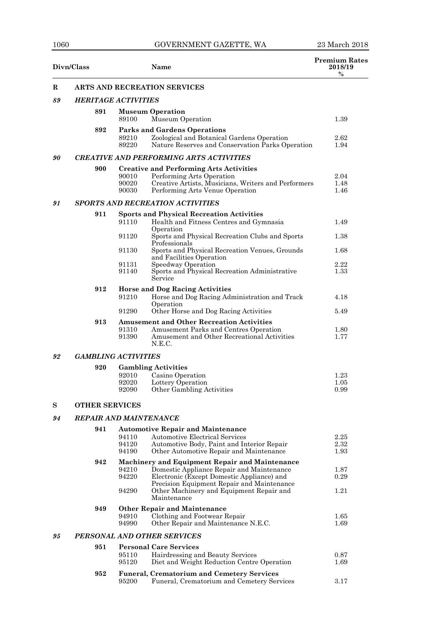|    | Divn/Class                    |                         | Name                                                                                                                                                                       | <b>Premium Rates</b><br>2018/19<br>$\%$ |
|----|-------------------------------|-------------------------|----------------------------------------------------------------------------------------------------------------------------------------------------------------------------|-----------------------------------------|
| R  |                               |                         | ARTS AND RECREATION SERVICES                                                                                                                                               |                                         |
| 89 | <b>HERITAGE ACTIVITIES</b>    |                         |                                                                                                                                                                            |                                         |
|    | 891                           | 89100                   | <b>Museum Operation</b><br>Museum Operation                                                                                                                                | 1.39                                    |
|    | 892                           | 89210<br>89220          | <b>Parks and Gardens Operations</b><br>Zoological and Botanical Gardens Operation<br>Nature Reserves and Conservation Parks Operation                                      | $2.62\,$<br>1.94                        |
| 90 |                               |                         | <b>CREATIVE AND PERFORMING ARTS ACTIVITIES</b>                                                                                                                             |                                         |
|    | 900                           |                         | <b>Creative and Performing Arts Activities</b>                                                                                                                             |                                         |
|    |                               | 90010<br>90020<br>90030 | Performing Arts Operation<br>Creative Artists, Musicians, Writers and Performers<br>Performing Arts Venue Operation                                                        | 2.04<br>1.48<br>1.46                    |
| 91 |                               |                         | <b>SPORTS AND RECREATION ACTIVITIES</b>                                                                                                                                    |                                         |
|    | 911                           | 91110                   | <b>Sports and Physical Recreation Activities</b><br>Health and Fitness Centres and Gymnasia<br>Operation                                                                   | 1.49                                    |
|    |                               | 91120                   | Sports and Physical Recreation Clubs and Sports<br>Professionals                                                                                                           | 1.38                                    |
|    |                               | 91130                   | Sports and Physical Recreation Venues, Grounds<br>and Facilities Operation                                                                                                 | 1.68                                    |
|    |                               | 91131<br>91140          | Speedway Operation<br>Sports and Physical Recreation Administrative<br>Service                                                                                             | 2.22<br>1.33                            |
|    | 912                           | 91210                   | <b>Horse and Dog Racing Activities</b><br>Horse and Dog Racing Administration and Track                                                                                    | 4.18                                    |
|    |                               | 91290                   | Operation<br>Other Horse and Dog Racing Activities                                                                                                                         | 5.49                                    |
|    | 913                           | 91310<br>91390          | <b>Amusement and Other Recreation Activities</b><br>Amusement Parks and Centres Operation<br>Amusement and Other Recreational Activities<br>N.E.C.                         | 1.80<br>1.77                            |
| 92 | <b>GAMBLING ACTIVITIES</b>    |                         |                                                                                                                                                                            |                                         |
|    | 920                           |                         | <b>Gambling Activities</b>                                                                                                                                                 |                                         |
|    |                               | 92010<br>92020<br>92090 | Casino Operation<br>Lottery Operation<br>Other Gambling Activities                                                                                                         | 1.23<br>1.05<br>0.99                    |
| S  | <b>OTHER SERVICES</b>         |                         |                                                                                                                                                                            |                                         |
| 94 | <b>REPAIR AND MAINTENANCE</b> |                         |                                                                                                                                                                            |                                         |
|    | 941                           | 94110<br>94120<br>94190 | <b>Automotive Repair and Maintenance</b><br><b>Automotive Electrical Services</b><br>Automotive Body, Paint and Interior Repair<br>Other Automotive Repair and Maintenance | 2.25<br>2.32<br>1.93                    |
|    | 942                           | 94210<br>94220          | Machinery and Equipment Repair and Maintenance<br>Domestic Appliance Repair and Maintenance<br>Electronic (Except Domestic Appliance) and                                  | 1.87<br>0.29                            |
|    |                               | 94290                   | Precision Equipment Repair and Maintenance<br>Other Machinery and Equipment Repair and<br>Maintenance                                                                      | 1.21                                    |
|    | 949                           | 94910<br>94990          | <b>Other Repair and Maintenance</b><br>Clothing and Footwear Repair<br>Other Repair and Maintenance N.E.C.                                                                 | 1.65<br>1.69                            |
| 95 |                               |                         | PERSONAL AND OTHER SERVICES                                                                                                                                                |                                         |
|    | 951                           | 95110<br>95120          | <b>Personal Care Services</b><br>Hairdressing and Beauty Services<br>Diet and Weight Reduction Centre Operation                                                            | 0.87<br>1.69                            |
|    | 952                           | 95200                   | <b>Funeral, Crematorium and Cemetery Services</b><br>Funeral, Crematorium and Cemetery Services                                                                            | 3.17                                    |